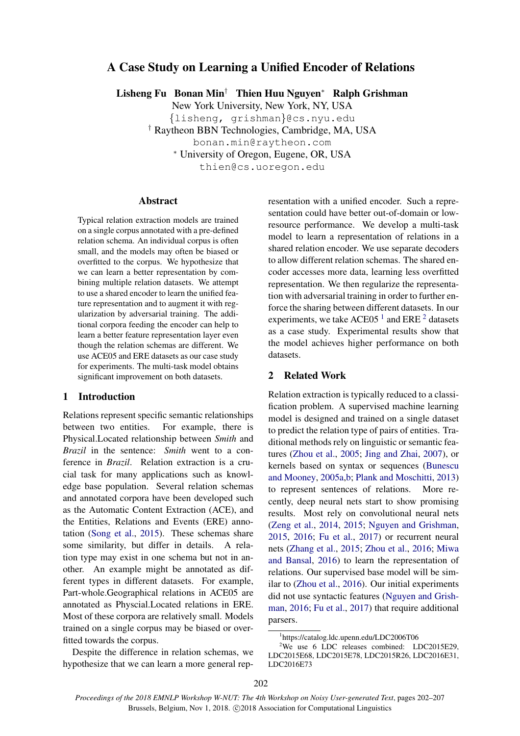# A Case Study on Learning a Unified Encoder of Relations

Lisheng Fu Bonan Min† Thien Huu Nguyen<sup>∗</sup> Ralph Grishman

New York University, New York, NY, USA {lisheng, grishman}@cs.nyu.edu † Raytheon BBN Technologies, Cambridge, MA, USA bonan.min@raytheon.com <sup>∗</sup> University of Oregon, Eugene, OR, USA thien@cs.uoregon.edu

## Abstract

Typical relation extraction models are trained on a single corpus annotated with a pre-defined relation schema. An individual corpus is often small, and the models may often be biased or overfitted to the corpus. We hypothesize that we can learn a better representation by combining multiple relation datasets. We attempt to use a shared encoder to learn the unified feature representation and to augment it with regularization by adversarial training. The additional corpora feeding the encoder can help to learn a better feature representation layer even though the relation schemas are different. We use ACE05 and ERE datasets as our case study for experiments. The multi-task model obtains significant improvement on both datasets.

## 1 Introduction

Relations represent specific semantic relationships between two entities. For example, there is Physical.Located relationship between *Smith* and *Brazil* in the sentence: *Smith* went to a conference in *Brazil*. Relation extraction is a crucial task for many applications such as knowledge base population. Several relation schemas and annotated corpora have been developed such as the Automatic Content Extraction (ACE), and the Entities, Relations and Events (ERE) annotation [\(Song et al.,](#page-5-0) [2015\)](#page-5-0). These schemas share some similarity, but differ in details. A relation type may exist in one schema but not in another. An example might be annotated as different types in different datasets. For example, Part-whole.Geographical relations in ACE05 are annotated as Physcial.Located relations in ERE. Most of these corpora are relatively small. Models trained on a single corpus may be biased or overfitted towards the corpus.

Despite the difference in relation schemas, we hypothesize that we can learn a more general representation with a unified encoder. Such a representation could have better out-of-domain or lowresource performance. We develop a multi-task model to learn a representation of relations in a shared relation encoder. We use separate decoders to allow different relation schemas. The shared encoder accesses more data, learning less overfitted representation. We then regularize the representation with adversarial training in order to further enforce the sharing between different datasets. In our experiments, we take ACE05<sup>[1](#page-0-0)</sup> and ERE<sup>[2](#page-0-1)</sup> datasets as a case study. Experimental results show that the model achieves higher performance on both datasets.

## 2 Related Work

Relation extraction is typically reduced to a classification problem. A supervised machine learning model is designed and trained on a single dataset to predict the relation type of pairs of entities. Traditional methods rely on linguistic or semantic features [\(Zhou et al.,](#page-5-1) [2005;](#page-5-1) [Jing and Zhai,](#page-5-2) [2007\)](#page-5-2), or kernels based on syntax or sequences [\(Bunescu](#page-4-0) [and Mooney,](#page-4-0) [2005a](#page-4-0)[,b;](#page-5-3) [Plank and Moschitti,](#page-5-4) [2013\)](#page-5-4) to represent sentences of relations. More recently, deep neural nets start to show promising results. Most rely on convolutional neural nets [\(Zeng et al.,](#page-5-5) [2014,](#page-5-5) [2015;](#page-5-6) [Nguyen and Grishman,](#page-5-7) [2015,](#page-5-7) [2016;](#page-5-8) [Fu et al.,](#page-5-9) [2017\)](#page-5-9) or recurrent neural nets [\(Zhang et al.,](#page-5-10) [2015;](#page-5-10) [Zhou et al.,](#page-5-11) [2016;](#page-5-11) [Miwa](#page-5-12) [and Bansal,](#page-5-12) [2016\)](#page-5-12) to learn the representation of relations. Our supervised base model will be similar to [\(Zhou et al.,](#page-5-11) [2016\)](#page-5-11). Our initial experiments did not use syntactic features [\(Nguyen and Grish](#page-5-8)[man,](#page-5-8) [2016;](#page-5-8) [Fu et al.,](#page-5-9) [2017\)](#page-5-9) that require additional parsers.

<span id="page-0-1"></span><span id="page-0-0"></span><sup>1</sup> https://catalog.ldc.upenn.edu/LDC2006T06

<sup>&</sup>lt;sup>2</sup>We use 6 LDC releases combined: LDC2015E29, LDC2015E68, LDC2015E78, LDC2015R26, LDC2016E31, LDC2016E73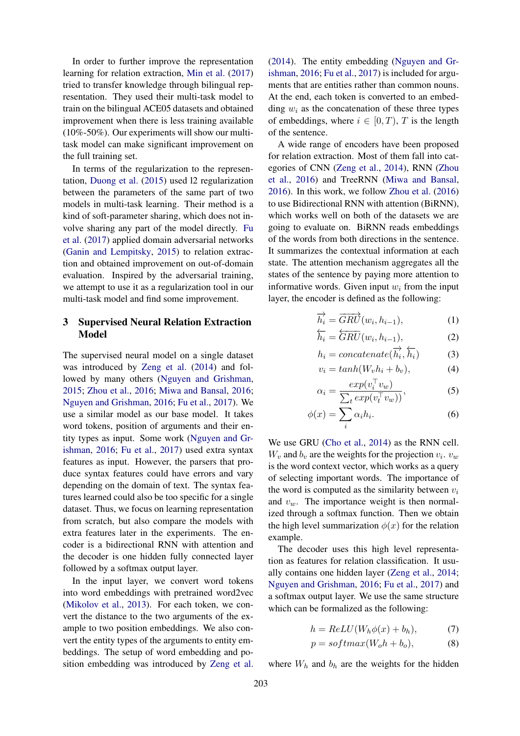In order to further improve the representation learning for relation extraction, [Min et al.](#page-5-13) [\(2017\)](#page-5-13) tried to transfer knowledge through bilingual representation. They used their multi-task model to train on the bilingual ACE05 datasets and obtained improvement when there is less training available (10%-50%). Our experiments will show our multitask model can make significant improvement on the full training set.

In terms of the regularization to the representation, [Duong et al.](#page-5-14) [\(2015\)](#page-5-14) used l2 regularization between the parameters of the same part of two models in multi-task learning. Their method is a kind of soft-parameter sharing, which does not involve sharing any part of the model directly. [Fu](#page-5-9) [et al.](#page-5-9) [\(2017\)](#page-5-9) applied domain adversarial networks [\(Ganin and Lempitsky,](#page-5-15) [2015\)](#page-5-15) to relation extraction and obtained improvement on out-of-domain evaluation. Inspired by the adversarial training, we attempt to use it as a regularization tool in our multi-task model and find some improvement.

# 3 Supervised Neural Relation Extraction Model

The supervised neural model on a single dataset was introduced by [Zeng et al.](#page-5-5) [\(2014\)](#page-5-5) and followed by many others [\(Nguyen and Grishman,](#page-5-7) [2015;](#page-5-7) [Zhou et al.,](#page-5-11) [2016;](#page-5-11) [Miwa and Bansal,](#page-5-12) [2016;](#page-5-12) [Nguyen and Grishman,](#page-5-8) [2016;](#page-5-8) [Fu et al.,](#page-5-9) [2017\)](#page-5-9). We use a similar model as our base model. It takes word tokens, position of arguments and their entity types as input. Some work [\(Nguyen and Gr](#page-5-8)[ishman,](#page-5-8) [2016;](#page-5-8) [Fu et al.,](#page-5-9) [2017\)](#page-5-9) used extra syntax features as input. However, the parsers that produce syntax features could have errors and vary depending on the domain of text. The syntax features learned could also be too specific for a single dataset. Thus, we focus on learning representation from scratch, but also compare the models with extra features later in the experiments. The encoder is a bidirectional RNN with attention and the decoder is one hidden fully connected layer followed by a softmax output layer.

In the input layer, we convert word tokens into word embeddings with pretrained word2vec [\(Mikolov et al.,](#page-5-16) [2013\)](#page-5-16). For each token, we convert the distance to the two arguments of the example to two position embeddings. We also convert the entity types of the arguments to entity embeddings. The setup of word embedding and position embedding was introduced by [Zeng et al.](#page-5-5)

[\(2014\)](#page-5-5). The entity embedding [\(Nguyen and Gr](#page-5-8)[ishman,](#page-5-8) [2016;](#page-5-8) [Fu et al.,](#page-5-9) [2017\)](#page-5-9) is included for arguments that are entities rather than common nouns. At the end, each token is converted to an embedding  $w_i$  as the concatenation of these three types of embeddings, where  $i \in [0, T)$ , T is the length of the sentence.

A wide range of encoders have been proposed for relation extraction. Most of them fall into categories of CNN [\(Zeng et al.,](#page-5-5) [2014\)](#page-5-5), RNN [\(Zhou](#page-5-11) [et al.,](#page-5-11) [2016\)](#page-5-11) and TreeRNN [\(Miwa and Bansal,](#page-5-12) [2016\)](#page-5-12). In this work, we follow [Zhou et al.](#page-5-11) [\(2016\)](#page-5-11) to use Bidirectional RNN with attention (BiRNN), which works well on both of the datasets we are going to evaluate on. BiRNN reads embeddings of the words from both directions in the sentence. It summarizes the contextual information at each state. The attention mechanism aggregates all the states of the sentence by paying more attention to informative words. Given input  $w_i$  from the input layer, the encoder is defined as the following:

<span id="page-1-2"></span>
$$
\overrightarrow{h_i} = \overrightarrow{GRU}(w_i, h_{i-1}), \tag{1}
$$

$$
\overleftarrow{h_i} = \overleftarrow{GRU}(w_i, h_{i-1}), \tag{2}
$$

<span id="page-1-3"></span>
$$
h_i = concatenate(\overrightarrow{h_i}, \overleftarrow{h_i})
$$
 (3)

<span id="page-1-4"></span>
$$
v_i = \tanh(W_v h_i + b_v), \tag{4}
$$

$$
\alpha_i = \frac{exp(v_i^{\top} v_w)}{\sum_t exp(v_i^{\top} v_w))},
$$
\n(5)

$$
\phi(x) = \sum_{i}^{n} \alpha_i h_i.
$$
 (6)

We use GRU [\(Cho et al.,](#page-5-17) [2014\)](#page-5-17) as the RNN cell.  $W_v$  and  $b_v$  are the weights for the projection  $v_i$ .  $v_w$ is the word context vector, which works as a query of selecting important words. The importance of the word is computed as the similarity between  $v_i$ and  $v_w$ . The importance weight is then normalized through a softmax function. Then we obtain the high level summarization  $\phi(x)$  for the relation example.

The decoder uses this high level representation as features for relation classification. It usually contains one hidden layer [\(Zeng et al.,](#page-5-5) [2014;](#page-5-5) [Nguyen and Grishman,](#page-5-8) [2016;](#page-5-8) [Fu et al.,](#page-5-9) [2017\)](#page-5-9) and a softmax output layer. We use the same structure which can be formalized as the following:

<span id="page-1-0"></span>
$$
h = ReLU(W_h \phi(x) + b_h), \tag{7}
$$

<span id="page-1-1"></span>
$$
p = softmax(W_o h + b_o), \tag{8}
$$

where  $W_h$  and  $b_h$  are the weights for the hidden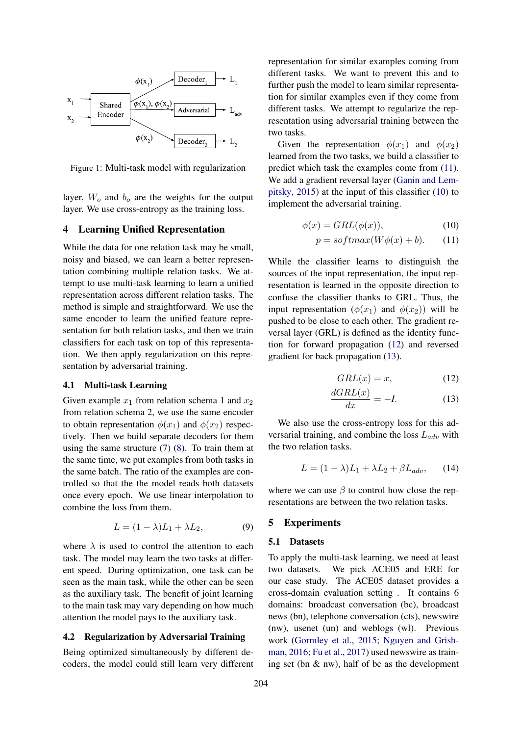

Figure 1: Multi-task model with regularization

layer,  $W<sub>o</sub>$  and  $b<sub>o</sub>$  are the weights for the output layer. We use cross-entropy as the training loss.

## 4 Learning Unified Representation

While the data for one relation task may be small, noisy and biased, we can learn a better representation combining multiple relation tasks. We attempt to use multi-task learning to learn a unified representation across different relation tasks. The method is simple and straightforward. We use the same encoder to learn the unified feature representation for both relation tasks, and then we train classifiers for each task on top of this representation. We then apply regularization on this representation by adversarial training.

#### 4.1 Multi-task Learning

Given example  $x_1$  from relation schema 1 and  $x_2$ from relation schema 2, we use the same encoder to obtain representation  $\phi(x_1)$  and  $\phi(x_2)$  respectively. Then we build separate decoders for them using the same structure [\(7\)](#page-1-0) [\(8\)](#page-1-1). To train them at the same time, we put examples from both tasks in the same batch. The ratio of the examples are controlled so that the the model reads both datasets once every epoch. We use linear interpolation to combine the loss from them.

$$
L = (1 - \lambda)L_1 + \lambda L_2, \tag{9}
$$

where  $\lambda$  is used to control the attention to each task. The model may learn the two tasks at different speed. During optimization, one task can be seen as the main task, while the other can be seen as the auxiliary task. The benefit of joint learning to the main task may vary depending on how much attention the model pays to the auxiliary task.

#### 4.2 Regularization by Adversarial Training

Being optimized simultaneously by different decoders, the model could still learn very different representation for similar examples coming from different tasks. We want to prevent this and to further push the model to learn similar representation for similar examples even if they come from different tasks. We attempt to regularize the representation using adversarial training between the two tasks.

Given the representation  $\phi(x_1)$  and  $\phi(x_2)$ learned from the two tasks, we build a classifier to predict which task the examples come from [\(11\)](#page-2-0). We add a gradient reversal layer [\(Ganin and Lem](#page-5-15)[pitsky,](#page-5-15) [2015\)](#page-5-15) at the input of this classifier [\(10\)](#page-2-1) to implement the adversarial training.

$$
\phi(x) = GRL(\phi(x)),\tag{10}
$$

<span id="page-2-1"></span><span id="page-2-0"></span>
$$
p = softmax(W\phi(x) + b). \tag{11}
$$

While the classifier learns to distinguish the sources of the input representation, the input representation is learned in the opposite direction to confuse the classifier thanks to GRL. Thus, the input representation  $(\phi(x_1)$  and  $\phi(x_2))$  will be pushed to be close to each other. The gradient reversal layer (GRL) is defined as the identity function for forward propagation [\(12\)](#page-2-2) and reversed gradient for back propagation [\(13\)](#page-2-3).

<span id="page-2-3"></span><span id="page-2-2"></span>
$$
GRL(x) = x,\tag{12}
$$

$$
\frac{dGRL(x)}{dx} = -I.
$$
 (13)

We also use the cross-entropy loss for this adversarial training, and combine the loss  $L_{adv}$  with the two relation tasks.

$$
L = (1 - \lambda)L_1 + \lambda L_2 + \beta L_{adv}, \qquad (14)
$$

where we can use  $\beta$  to control how close the representations are between the two relation tasks.

### 5 Experiments

#### 5.1 Datasets

To apply the multi-task learning, we need at least two datasets. We pick ACE05 and ERE for our case study. The ACE05 dataset provides a cross-domain evaluation setting . It contains 6 domains: broadcast conversation (bc), broadcast news (bn), telephone conversation (cts), newswire (nw), usenet (un) and weblogs (wl). Previous work [\(Gormley et al.,](#page-5-18) [2015;](#page-5-18) [Nguyen and Grish](#page-5-8)[man,](#page-5-8) [2016;](#page-5-8) [Fu et al.,](#page-5-9) [2017\)](#page-5-9) used newswire as training set (bn & nw), half of bc as the development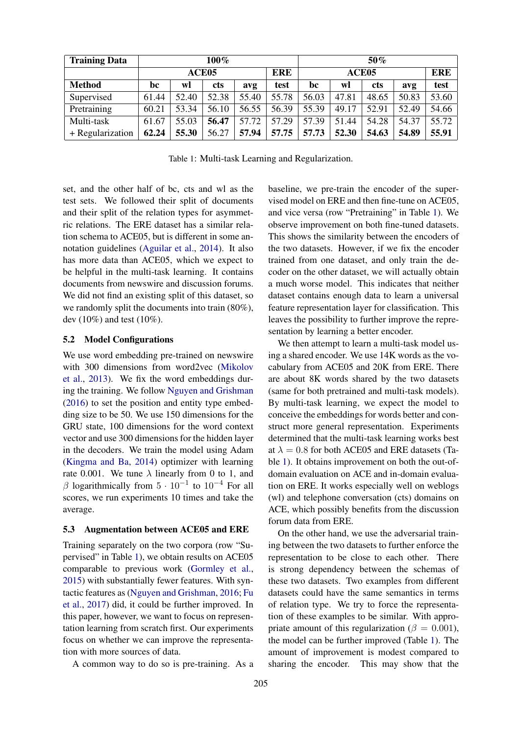<span id="page-3-0"></span>

| <b>Training Data</b> | 100%              |       |            |       |            | 50%               |       |            |       |            |
|----------------------|-------------------|-------|------------|-------|------------|-------------------|-------|------------|-------|------------|
|                      | ACE <sub>05</sub> |       |            |       | <b>ERE</b> | ACE <sub>05</sub> |       |            |       | <b>ERE</b> |
| <b>Method</b>        | bc                | wl    | <b>cts</b> | avg   | test       | bc                | wl    | <b>cts</b> | avg   | test       |
| Supervised           | 61.44             | 52.40 | 52.38      | 55.40 | 55.78      | 56.03             | 47.81 | 48.65      | 50.83 | 53.60      |
| Pretraining          | 60.21             | 53.34 | 56.10      | 56.55 | 56.39      | 55.39             | 49.17 | 52.91      | 52.49 | 54.66      |
| Multi-task           | 61.67             | 55.03 | 56.47      | 57.72 | 57.29      | 57.39             | 51.44 | 54.28      | 54.37 | 55.72      |
| + Regularization     | 62.24             | 55.30 | 56.27      | 57.94 | 57.75      | 57.73             | 52.30 | 54.63      | 54.89 | 55.91      |

Table 1: Multi-task Learning and Regularization.

set, and the other half of bc, cts and wl as the test sets. We followed their split of documents and their split of the relation types for asymmetric relations. The ERE dataset has a similar relation schema to ACE05, but is different in some annotation guidelines [\(Aguilar et al.,](#page-4-1) [2014\)](#page-4-1). It also has more data than ACE05, which we expect to be helpful in the multi-task learning. It contains documents from newswire and discussion forums. We did not find an existing split of this dataset, so we randomly split the documents into train (80%), dev (10%) and test (10%).

## 5.2 Model Configurations

We use word embedding pre-trained on newswire with 300 dimensions from word2vec [\(Mikolov](#page-5-16) [et al.,](#page-5-16) [2013\)](#page-5-16). We fix the word embeddings during the training. We follow [Nguyen and Grishman](#page-5-8) [\(2016\)](#page-5-8) to set the position and entity type embedding size to be 50. We use 150 dimensions for the GRU state, 100 dimensions for the word context vector and use 300 dimensions for the hidden layer in the decoders. We train the model using Adam [\(Kingma and Ba,](#page-5-19) [2014\)](#page-5-19) optimizer with learning rate 0.001. We tune  $\lambda$  linearly from 0 to 1, and  $\beta$  logarithmically from  $5 \cdot 10^{-1}$  to  $10^{-4}$  For all scores, we run experiments 10 times and take the average.

#### 5.3 Augmentation between ACE05 and ERE

Training separately on the two corpora (row "Supervised" in Table [1\)](#page-3-0), we obtain results on ACE05 comparable to previous work [\(Gormley et al.,](#page-5-18) [2015\)](#page-5-18) with substantially fewer features. With syntactic features as [\(Nguyen and Grishman,](#page-5-8) [2016;](#page-5-8) [Fu](#page-5-9) [et al.,](#page-5-9) [2017\)](#page-5-9) did, it could be further improved. In this paper, however, we want to focus on representation learning from scratch first. Our experiments focus on whether we can improve the representation with more sources of data.

A common way to do so is pre-training. As a

baseline, we pre-train the encoder of the supervised model on ERE and then fine-tune on ACE05, and vice versa (row "Pretraining" in Table [1\)](#page-3-0). We observe improvement on both fine-tuned datasets. This shows the similarity between the encoders of the two datasets. However, if we fix the encoder trained from one dataset, and only train the decoder on the other dataset, we will actually obtain a much worse model. This indicates that neither dataset contains enough data to learn a universal feature representation layer for classification. This leaves the possibility to further improve the representation by learning a better encoder.

We then attempt to learn a multi-task model using a shared encoder. We use 14K words as the vocabulary from ACE05 and 20K from ERE. There are about 8K words shared by the two datasets (same for both pretrained and multi-task models). By multi-task learning, we expect the model to conceive the embeddings for words better and construct more general representation. Experiments determined that the multi-task learning works best at  $\lambda = 0.8$  for both ACE05 and ERE datasets (Table [1\)](#page-3-0). It obtains improvement on both the out-ofdomain evaluation on ACE and in-domain evaluation on ERE. It works especially well on weblogs (wl) and telephone conversation (cts) domains on ACE, which possibly benefits from the discussion forum data from ERE.

On the other hand, we use the adversarial training between the two datasets to further enforce the representation to be close to each other. There is strong dependency between the schemas of these two datasets. Two examples from different datasets could have the same semantics in terms of relation type. We try to force the representation of these examples to be similar. With appropriate amount of this regularization ( $\beta = 0.001$ ), the model can be further improved (Table [1\)](#page-3-0). The amount of improvement is modest compared to sharing the encoder. This may show that the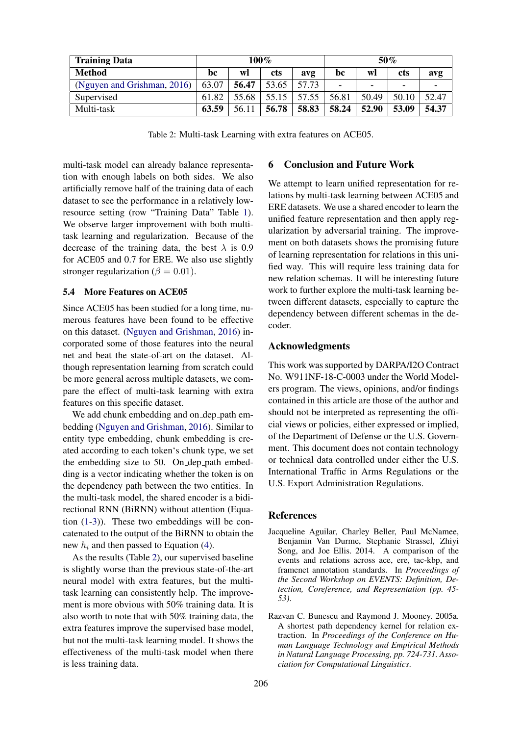<span id="page-4-2"></span>

| <b>Training Data</b>        |       |       | $100\%$    |       | $50\%$ |       |            |       |
|-----------------------------|-------|-------|------------|-------|--------|-------|------------|-------|
| <b>Method</b>               | bc    | wl    | <b>cts</b> | avg   | bc     | wl    | <b>cts</b> | avg   |
| (Nguyen and Grishman, 2016) | 63.07 | 56.47 | 53.65      | 57.73 | -      | -     | -          |       |
| Supervised                  | 61.82 | 55.68 | 55.15      | 57.55 | 56.81  | 50.49 | 50.10      | 52.47 |
| Multi-task                  | 63.59 | 56.11 | 56.78      | 58.83 | 58.24  | 52.90 | 53.09      | 54.37 |

Table 2: Multi-task Learning with extra features on ACE05.

multi-task model can already balance representation with enough labels on both sides. We also artificially remove half of the training data of each dataset to see the performance in a relatively lowresource setting (row "Training Data" Table [1\)](#page-3-0). We observe larger improvement with both multitask learning and regularization. Because of the decrease of the training data, the best  $\lambda$  is 0.9 for ACE05 and 0.7 for ERE. We also use slightly stronger regularization ( $\beta = 0.01$ ).

# 5.4 More Features on ACE05

Since ACE05 has been studied for a long time, numerous features have been found to be effective on this dataset. [\(Nguyen and Grishman,](#page-5-8) [2016\)](#page-5-8) incorporated some of those features into the neural net and beat the state-of-art on the dataset. Although representation learning from scratch could be more general across multiple datasets, we compare the effect of multi-task learning with extra features on this specific dataset.

We add chunk embedding and on\_dep\_path embedding [\(Nguyen and Grishman,](#page-5-8) [2016\)](#page-5-8). Similar to entity type embedding, chunk embedding is created according to each token's chunk type, we set the embedding size to 50. On dep path embedding is a vector indicating whether the token is on the dependency path between the two entities. In the multi-task model, the shared encoder is a bidirectional RNN (BiRNN) without attention (Equation [\(1-](#page-1-2)[3\)](#page-1-3)). These two embeddings will be concatenated to the output of the BiRNN to obtain the new  $h_i$  and then passed to Equation [\(4\)](#page-1-4).

As the results (Table [2\)](#page-4-2), our supervised baseline is slightly worse than the previous state-of-the-art neural model with extra features, but the multitask learning can consistently help. The improvement is more obvious with 50% training data. It is also worth to note that with 50% training data, the extra features improve the supervised base model, but not the multi-task learning model. It shows the effectiveness of the multi-task model when there is less training data.

# 6 Conclusion and Future Work

We attempt to learn unified representation for relations by multi-task learning between ACE05 and ERE datasets. We use a shared encoder to learn the unified feature representation and then apply regularization by adversarial training. The improvement on both datasets shows the promising future of learning representation for relations in this unified way. This will require less training data for new relation schemas. It will be interesting future work to further explore the multi-task learning between different datasets, especially to capture the dependency between different schemas in the decoder.

## Acknowledgments

This work was supported by DARPA/I2O Contract No. W911NF-18-C-0003 under the World Modelers program. The views, opinions, and/or findings contained in this article are those of the author and should not be interpreted as representing the official views or policies, either expressed or implied, of the Department of Defense or the U.S. Government. This document does not contain technology or technical data controlled under either the U.S. International Traffic in Arms Regulations or the U.S. Export Administration Regulations.

#### **References**

- <span id="page-4-1"></span>Jacqueline Aguilar, Charley Beller, Paul McNamee, Benjamin Van Durme, Stephanie Strassel, Zhiyi Song, and Joe Ellis. 2014. A comparison of the events and relations across ace, ere, tac-kbp, and framenet annotation standards. In *Proceedings of the Second Workshop on EVENTS: Definition, Detection, Coreference, and Representation (pp. 45- 53)*.
- <span id="page-4-0"></span>Razvan C. Bunescu and Raymond J. Mooney. 2005a. A shortest path dependency kernel for relation extraction. In *Proceedings of the Conference on Human Language Technology and Empirical Methods in Natural Language Processing, pp. 724-731. Association for Computational Linguistics*.